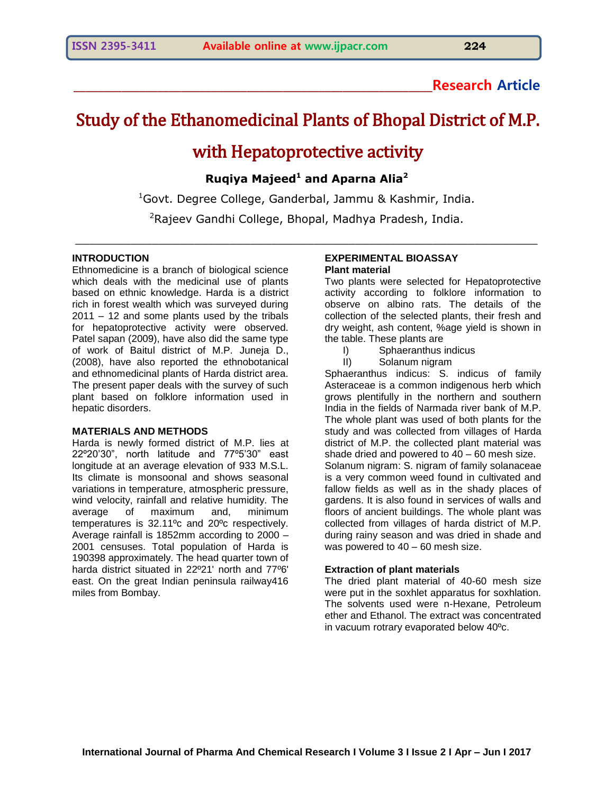### **\_\_\_\_\_\_\_\_\_\_\_\_\_\_\_\_\_\_\_\_\_\_\_\_\_\_\_\_\_\_\_\_\_\_\_\_\_\_\_\_\_\_\_\_\_\_\_\_\_\_\_\_\_\_\_\_\_\_\_\_Research Article**

# Study of the Ethanomedicinal Plants of Bhopal District of M.P.

## with Hepatoprotective activity

**Ruqiya Majeed<sup>1</sup> and Aparna Alia<sup>2</sup>**

 ${}^{1}$ Govt. Degree College, Ganderbal, Jammu & Kashmir, India. <sup>2</sup>Rajeev Gandhi College, Bhopal, Madhya Pradesh, India.

\_\_\_\_\_\_\_\_\_\_\_\_\_\_\_\_\_\_\_\_\_\_\_\_\_\_\_\_\_\_\_\_\_\_\_\_\_\_\_\_\_\_\_\_\_\_\_\_\_\_\_\_\_\_\_\_\_\_\_\_\_\_\_\_\_\_

#### **INTRODUCTION**

Ethnomedicine is a branch of biological science which deals with the medicinal use of plants based on ethnic knowledge. Harda is a district rich in forest wealth which was surveyed during 2011 – 12 and some plants used by the tribals for hepatoprotective activity were observed. Patel sapan (2009), have also did the same type of work of Baitul district of M.P. Juneja D., (2008), have also reported the ethnobotanical and ethnomedicinal plants of Harda district area. The present paper deals with the survey of such plant based on folklore information used in hepatic disorders.

#### **MATERIALS AND METHODS**

Harda is newly formed district of M.P. lies at 22º20'30", north latitude and 77º5'30" east longitude at an average elevation of 933 M.S.L. Its climate is monsoonal and shows seasonal variations in temperature, atmospheric pressure, wind velocity, rainfall and relative humidity. The average of maximum and, minimum temperatures is 32.11ºc and 20ºc respectively. Average rainfall is 1852mm according to 2000 – 2001 censuses. Total population of Harda is 190398 approximately. The head quarter town of harda district situated in 22º21' north and 77º6' east. On the great Indian peninsula railway416 miles from Bombay.

#### **EXPERIMENTAL BIOASSAY Plant material**

Two plants were selected for Hepatoprotective activity according to folklore information to observe on albino rats. The details of the collection of the selected plants, their fresh and dry weight, ash content, %age yield is shown in the table. These plants are

- I) Sphaeranthus indicus
- II) Solanum nigram

Sphaeranthus indicus: S. indicus of family Asteraceae is a common indigenous herb which grows plentifully in the northern and southern India in the fields of Narmada river bank of M.P. The whole plant was used of both plants for the study and was collected from villages of Harda district of M.P. the collected plant material was shade dried and powered to  $40 - 60$  mesh size. Solanum nigram: S. nigram of family solanaceae is a very common weed found in cultivated and fallow fields as well as in the shady places of gardens. It is also found in services of walls and floors of ancient buildings. The whole plant was collected from villages of harda district of M.P. during rainy season and was dried in shade and was powered to 40 – 60 mesh size.

#### **Extraction of plant materials**

The dried plant material of 40-60 mesh size were put in the soxhlet apparatus for soxhlation. The solvents used were n-Hexane, Petroleum ether and Ethanol. The extract was concentrated in vacuum rotrary evaporated below 40ºc.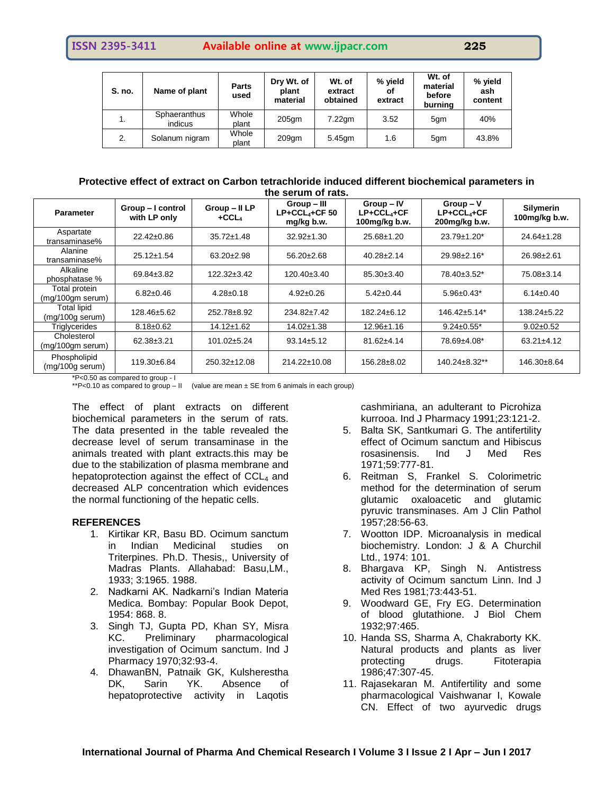| S. no. | Name of plant           | <b>Parts</b><br>used | Dry Wt. of<br>plant<br>material | Wt. of<br>extract<br>obtained | % yield<br>οf<br>extract | Wt. of<br>material<br>before<br>burning | % yield<br>ash<br>content |
|--------|-------------------------|----------------------|---------------------------------|-------------------------------|--------------------------|-----------------------------------------|---------------------------|
|        | Sphaeranthus<br>indicus | Whole<br>plant       | $205$ qm                        | $7.22$ gm                     | 3.52                     | 5qm                                     | 40%                       |
| 2.     | Solanum nigram          | Whole<br>plant       | 209 <sub>am</sub>               | 5.45gm                        | 1.6                      | 5qm                                     | 43.8%                     |

#### **Protective effect of extract on Carbon tetrachloride induced different biochemical parameters in the serum of rats.**

| <b>Parameter</b>                                | Group-I control<br>with LP only | Group - II LP<br>$+CCL4$ | Group - III<br>$LP+CCL4+CF$ 50<br>mg/kg b.w. | Group-IV<br>$LP + CCL4+CF$<br>100mg/kg b.w. | $Group - V$<br>$LP + CCL + CF$<br>200mg/kg b.w. | Silymerin<br>100mg/kg b.w. |
|-------------------------------------------------|---------------------------------|--------------------------|----------------------------------------------|---------------------------------------------|-------------------------------------------------|----------------------------|
| Aspartate<br>transaminase%                      | $22.42 \pm 0.86$                | $35.72 \pm 1.48$         | $32.92 \pm 1.30$                             | 25.68±1.20                                  | $23.79 \pm 1.20^*$                              | 24.64±1.28                 |
| Alanine<br>transaminase%                        | $25.12 \pm 1.54$                | $63.20 \pm 2.98$         | $56.20 \pm 2.68$                             | $40.28 \pm 2.14$                            | $29.98 \pm 2.16^*$                              | $26.98 \pm 2.61$           |
| Alkaline<br>phosphatase %                       | 69.84±3.82                      | $122.32 \pm 3.42$        | $120.40 \pm 3.40$                            | $85.30 \pm 3.40$                            | 78.40±3.52*                                     | 75.08±3.14                 |
| Total protein<br>$(mq/100qm$ serum)             | $6.82 \pm 0.46$                 | $4.28 \pm 0.18$          | $4.92 \pm 0.26$                              | $5.42 \pm 0.44$                             | $5.96 \pm 0.43^*$                               | $6.14 \pm 0.40$            |
| <b>Total lipid</b><br>$(mg/100g \text{ serum})$ | 128.46±5.62                     | 252.78±8.92              | $234.82 \pm 7.42$                            | $182.24 \pm 6.12$                           | $146.42 \pm 5.14^*$                             | $138.24 \pm 5.22$          |
| Triglycerides                                   | $8.18 \pm 0.62$                 | $14.12 \pm 1.62$         | 14.02±1.38                                   | $12.96 \pm 1.16$                            | $9.24 \pm 0.55^*$                               | $9.02 \pm 0.52$            |
| Cholesterol<br>(mg/100gm serum)                 | $62.38 \pm 3.21$                | $101.02 + 5.24$          | $93.14 \pm 5.12$                             | $81.62 + 4.14$                              | 78.69±4.08*                                     | $63.21 \pm 4.12$           |
| Phospholipid<br>$(mq/100q \text{ serum})$       | 119.30±6.84                     | 250.32±12.08             | 214.22±10.08                                 | 156.28±8.02                                 | $140.24 \pm 8.32**$                             | 146.30±8.64                |

\*P<0.50 as compared to group - I

\*\*P<0.10 as compared to group – II (value are mean  $\pm$  SE from 6 animals in each group)

The effect of plant extracts on different biochemical parameters in the serum of rats. The data presented in the table revealed the decrease level of serum transaminase in the animals treated with plant extracts.this may be due to the stabilization of plasma membrane and hepatoprotection against the effect of  $CCL<sub>4</sub>$  and decreased ALP concentration which evidences the normal functioning of the hepatic cells.

#### **REFERENCES**

- 1. Kirtikar KR, Basu BD. Ocimum sanctum in Indian Medicinal studies on Triterpines. Ph.D. Thesis,, University of Madras Plants. Allahabad: Basu,LM., 1933; 3:1965. 1988.
- 2. Nadkarni AK. Nadkarni's Indian Materia Medica. Bombay: Popular Book Depot, 1954: 868. 8.
- 3. Singh TJ, Gupta PD, Khan SY, Misra KC. Preliminary pharmacological investigation of Ocimum sanctum. Ind J Pharmacy 1970;32:93-4.
- 4. DhawanBN, Patnaik GK, Kulsherestha DK, Sarin YK. Absence of hepatoprotective activity in Laqotis

cashmiriana, an adulterant to Picrohiza kurrooa. Ind J Pharmacy 1991;23:121-2.

- 5. Balta SK, Santkumari G. The antifertility effect of Ocimum sanctum and Hibiscus rosasinensis. Ind J Med Res 1971;59:777-81.
- 6. Reitman S, Frankel S. Colorimetric method for the determination of serum glutamic oxaloacetic and glutamic pyruvic transminases. Am J Clin Pathol 1957;28:56-63.
- 7. Wootton IDP. Microanalysis in medical biochemistry. London: J & A Churchil Ltd., 1974: 101.
- 8. Bhargava KP, Singh N. Antistress activity of Ocimum sanctum Linn. Ind J Med Res 1981;73:443-51.
- 9. Woodward GE, Fry EG. Determination of blood glutathione. J Biol Chem 1932;97:465.
- 10. Handa SS, Sharma A, Chakraborty KK. Natural products and plants as liver protecting drugs. Fitoterapia 1986;47:307-45.
- 11. Rajasekaran M. Antifertility and some pharmacological Vaishwanar I, Kowale CN. Effect of two ayurvedic drugs